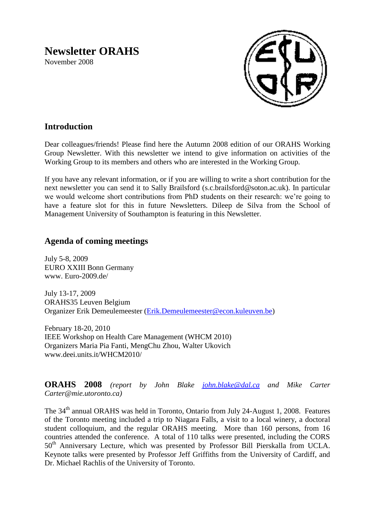# **Newsletter ORAHS**

November 2008



# **Introduction**

Dear colleagues/friends! Please find here the Autumn 2008 edition of our ORAHS Working Group Newsletter. With this newsletter we intend to give information on activities of the Working Group to its members and others who are interested in the Working Group.

If you have any relevant information, or if you are willing to write a short contribution for the next newsletter you can send it to Sally Brailsford (s.c.brailsford@soton.ac.uk). In particular we would welcome short contributions from PhD students on their research: we're going to have a feature slot for this in future Newsletters. Dileep de Silva from the School of Management University of Southampton is featuring in this Newsletter.

## **Agenda of coming meetings**

July 5-8, 2009 EURO XXIII Bonn Germany www. Euro-2009.de/

July 13-17, 2009 ORAHS35 Leuven Belgium Organizer Erik Demeulemeester [\(Erik.Demeulemeester@econ.kuleuven.be\)](mailto:Erik.Demeulemeester@econ.kuleuven.be)

February 18-20, 2010 IEEE Workshop on Health Care Management (WHCM 2010) Organizers Maria Pia Fanti, MengChu Zhou, Walter Ukovich www.deei.units.it/WHCM2010/

**ORAHS 2008** *(report by John Blake [john.blake@dal.ca](mailto:john.blake@dal.ca) and Mike Carter Carter@mie.utoronto.ca)*

The 34<sup>th</sup> annual ORAHS was held in Toronto, Ontario from July 24-August 1, 2008. Features of the Toronto meeting included a trip to Niagara Falls, a visit to a local winery, a doctoral student colloquium, and the regular ORAHS meeting. More than 160 persons, from 16 countries attended the conference. A total of 110 talks were presented, including the CORS 50<sup>th</sup> Anniversary Lecture, which was presented by Professor Bill Pierskalla from UCLA. Keynote talks were presented by Professor Jeff Griffiths from the University of Cardiff, and Dr. Michael Rachlis of the University of Toronto.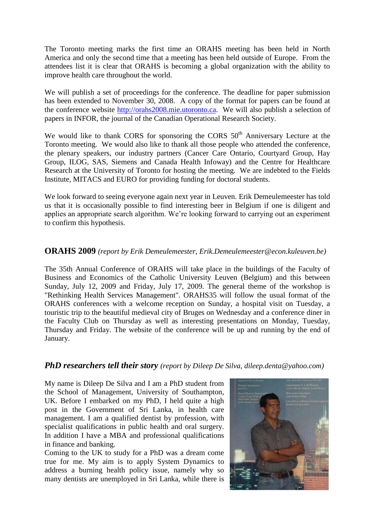The Toronto meeting marks the first time an ORAHS meeting has been held in North America and only the second time that a meeting has been held outside of Europe. From the attendees list it is clear that ORAHS is becoming a global organization with the ability to improve health care throughout the world.

We will publish a set of proceedings for the conference. The deadline for paper submission has been extended to November 30, 2008. A copy of the format for papers can be found at the conference website [http://orahs2008.mie.utoronto.ca.](http://orahs2008.mie.utoronto.ca/) We will also publish a selection of papers in INFOR, the journal of the Canadian Operational Research Society.

We would like to thank CORS for sponsoring the CORS  $50<sup>th</sup>$  Anniversary Lecture at the Toronto meeting. We would also like to thank all those people who attended the conference, the plenary speakers, our industry partners (Cancer Care Ontario, Courtyard Group, Hay Group, ILOG, SAS, Siemens and Canada Health Infoway) and the Centre for Healthcare Research at the University of Toronto for hosting the meeting. We are indebted to the Fields Institute, MITACS and EURO for providing funding for doctoral students.

We look forward to seeing everyone again next year in Leuven. Erik Demeulemeester has told us that it is occasionally possible to find interesting beer in Belgium if one is diligent and applies an appropriate search algorithm. We're looking forward to carrying out an experiment to confirm this hypothesis.

## **ORAHS 2009** *(report by Erik Demeulemeester, Erik.Demeulemeester@econ.kuleuven.be)*

The 35th Annual Conference of ORAHS will take place in the buildings of the Faculty of Business and Economics of the Catholic University Leuven (Belgium) and this between Sunday, July 12, 2009 and Friday, July 17, 2009. The general theme of the workshop is "Rethinking Health Services Management". ORAHS35 will follow the usual format of the ORAHS conferences with a welcome reception on Sunday, a hospital visit on Tuesday, a touristic trip to the beautiful medieval city of Bruges on Wednesday and a conference diner in the Faculty Club on Thursday as well as interesting presentations on Monday, Tuesday, Thursday and Friday. The website of the conference will be up and running by the end of January.

#### *PhD researchers tell their story (report by Dileep De Silva, dileep.denta@yahoo.com)*

My name is Dileep De Silva and I am a PhD student from the School of Management, University of Southampton, UK. Before I embarked on my PhD, I held quite a high post in the Government of Sri Lanka, in health care management. I am a qualified dentist by profession, with specialist qualifications in public health and oral surgery. In addition I have a MBA and professional qualifications in finance and banking.

Coming to the UK to study for a PhD was a dream come true for me. My aim is to apply System Dynamics to address a burning health policy issue, namely why so many dentists are unemployed in Sri Lanka, while there is

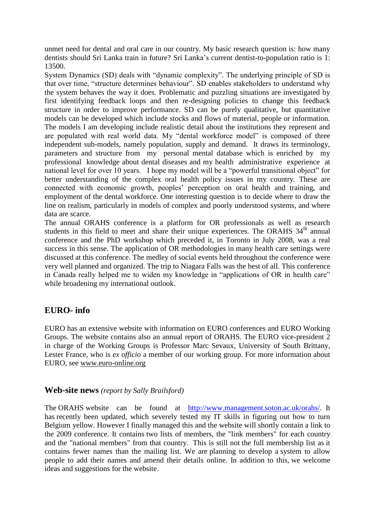unmet need for dental and oral care in our country. My basic research question is: how many dentists should Sri Lanka train in future? Sri Lanka's current dentist-to-population ratio is 1: 13500.

System Dynamics (SD) deals with "dynamic complexity". The underlying principle of SD is that over time, "structure determines behaviour". SD enables stakeholders to understand why the system behaves the way it does. Problematic and puzzling situations are investigated by first identifying feedback loops and then re-designing policies to change this feedback structure in order to improve performance. SD can be purely qualitative, but quantitative models can be developed which include stocks and flows of material, people or information. The models I am developing include realistic detail about the institutions they represent and are populated with real world data. My "dental workforce model" is composed of three independent sub-models, namely population, supply and demand. It draws its terminology, parameters and structure from my personal mental database which is enriched by my professional knowledge about dental diseases and my health administrative experience at national level for over 10 years. I hope my model will be a "powerful transitional object" for better understanding of the complex oral health policy issues in my country. These are connected with economic growth, peoples' perception on oral health and training, and employment of the dental workforce. One interesting question is to decide where to draw the line on realism, particularly in models of complex and poorly understood systems, and where data are scarce.

The annual ORAHS conference is a platform for OR professionals as well as research students in this field to meet and share their unique experiences. The ORAHS  $34<sup>th</sup>$  annual conference and the PhD workshop which preceded it, in Toronto in July 2008, was a real success in this sense. The application of OR methodologies in many health care settings were discussed at this conference. The medley of social events held throughout the conference were very well planned and organized. The trip to Niagara Falls was the best of all. This conference in Canada really helped me to widen my knowledge in "applications of OR in health care" while broadening my international outlook.

## **EURO- info**

EURO has an extensive website with information on EURO conferences and EURO Working Groups. The website contains also an annual report of ORAHS. The EURO vice-president 2 in charge of the Working Groups is Professor Marc Sevaux, University of South Brittany, Lester France, who is *ex officio* a member of our working group. For more information about EURO, see [www.euro-online.org](http://www.euro-online.org/) 

#### **Web-site news** *(report by Sally Brailsford)*

The ORAHS website can be found at [http://www.management.soton.ac.uk/orahs/.](http://www.management.soton.ac.uk/orahs/) It has recently been updated, which severely tested my IT skills in figuring out how to turn Belgium yellow. However I finally managed this and the website will shortly contain a link to the 2009 conference. It contains two lists of members, the "link members" for each country and the "national members" from that country. This is still not the full membership list as it contains fewer names than the mailing list. We are planning to develop a system to allow people to add their names and amend their details online. In addition to this, we welcome ideas and suggestions for the website.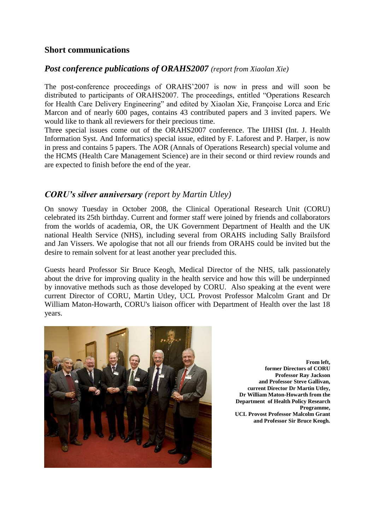## **Short communications**

## *Post conference publications of ORAHS2007 (report from Xiaolan Xie)*

The post-conference proceedings of ORAHS'2007 is now in press and will soon be distributed to participants of ORAHS2007. The proceedings, entitled "Operations Research for Health Care Delivery Engineering" and edited by Xiaolan Xie, Françoise Lorca and Eric Marcon and of nearly 600 pages, contains 43 contributed papers and 3 invited papers. We would like to thank all reviewers for their precious time.

Three special issues come out of the ORAHS2007 conference. The IJHISI (Int. J. Health Information Syst. And Informatics) special issue, edited by F. Laforest and P. Harper, is now in press and contains 5 papers. The AOR (Annals of Operations Research) special volume and the HCMS (Health Care Management Science) are in their second or third review rounds and are expected to finish before the end of the year.

## *CORU's silver anniversary (report by Martin Utley)*

On snowy Tuesday in October 2008, the Clinical Operational Research Unit (CORU) celebrated its 25th birthday. Current and former staff were joined by friends and collaborators from the worlds of academia, OR, the UK Government Department of Health and the UK national Health Service (NHS), including several from ORAHS including Sally Brailsford and Jan Vissers. We apologise that not all our friends from ORAHS could be invited but the desire to remain solvent for at least another year precluded this.

Guests heard Professor Sir Bruce Keogh, Medical Director of the NHS, talk passionately about the drive for improving quality in the health service and how this will be underpinned by innovative methods such as those developed by CORU. Also speaking at the event were current Director of CORU, Martin Utley, UCL Provost Professor Malcolm Grant and Dr William Maton-Howarth, CORU's liaison officer with Department of Health over the last 18 years.



**From left, former Directors of CORU Professor Ray Jackson and Professor Steve Gallivan, current Director Dr Martin Utley, Dr William Maton-Howarth from the Department of Health Policy Research Programme, UCL Provost Professor Malcolm Grant and Professor Sir Bruce Keogh.**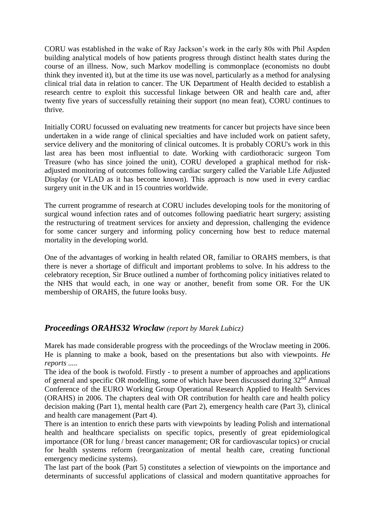CORU was established in the wake of Ray Jackson's work in the early 80s with Phil Aspden building analytical models of how patients progress through distinct health states during the course of an illness. Now, such Markov modelling is commonplace (economists no doubt think they invented it), but at the time its use was novel, particularly as a method for analysing clinical trial data in relation to cancer. The UK Department of Health decided to establish a research centre to exploit this successful linkage between OR and health care and, after twenty five years of successfully retaining their support (no mean feat), CORU continues to thrive.

Initially CORU focussed on evaluating new treatments for cancer but projects have since been undertaken in a wide range of clinical specialties and have included work on patient safety, service delivery and the monitoring of clinical outcomes. It is probably CORU's work in this last area has been most influential to date. Working with cardiothoracic surgeon Tom Treasure (who has since joined the unit), CORU developed a graphical method for riskadjusted monitoring of outcomes following cardiac surgery called the Variable Life Adjusted Display (or VLAD as it has become known). This approach is now used in every cardiac surgery unit in the UK and in 15 countries worldwide.

The current programme of research at CORU includes developing tools for the monitoring of surgical wound infection rates and of outcomes following paediatric heart surgery; assisting the restructuring of treatment services for anxiety and depression, challenging the evidence for some cancer surgery and informing policy concerning how best to reduce maternal mortality in the developing world.

One of the advantages of working in health related OR, familiar to ORAHS members, is that there is never a shortage of difficult and important problems to solve. In his address to the celebratory reception, Sir Bruce outlined a number of forthcoming policy initiatives related to the NHS that would each, in one way or another, benefit from some OR. For the UK membership of ORAHS, the future looks busy.

## *Proceedings ORAHS32 Wroclaw (report by Marek Lubicz)*

Marek has made considerable progress with the proceedings of the Wroclaw meeting in 2006. He is planning to make a book, based on the presentations but also with viewpoints. *He reports .....*

The idea of the book is twofold. Firstly - to present a number of approaches and applications of general and specific OR modelling, some of which have been discussed during  $32<sup>nd</sup>$  Annual Conference of the EURO Working Group Operational Research Applied to Health Services (ORAHS) in 2006. The chapters deal with OR contribution for health care and health policy decision making (Part 1), mental health care (Part 2), emergency health care (Part 3), clinical and health care management (Part 4).

There is an intention to enrich these parts with viewpoints by leading Polish and international health and healthcare specialists on specific topics, presently of great epidemiological importance (OR for lung / breast cancer management; OR for cardiovascular topics) or crucial for health systems reform (reorganization of mental health care, creating functional emergency medicine systems).

The last part of the book (Part 5) constitutes a selection of viewpoints on the importance and determinants of successful applications of classical and modern quantitative approaches for